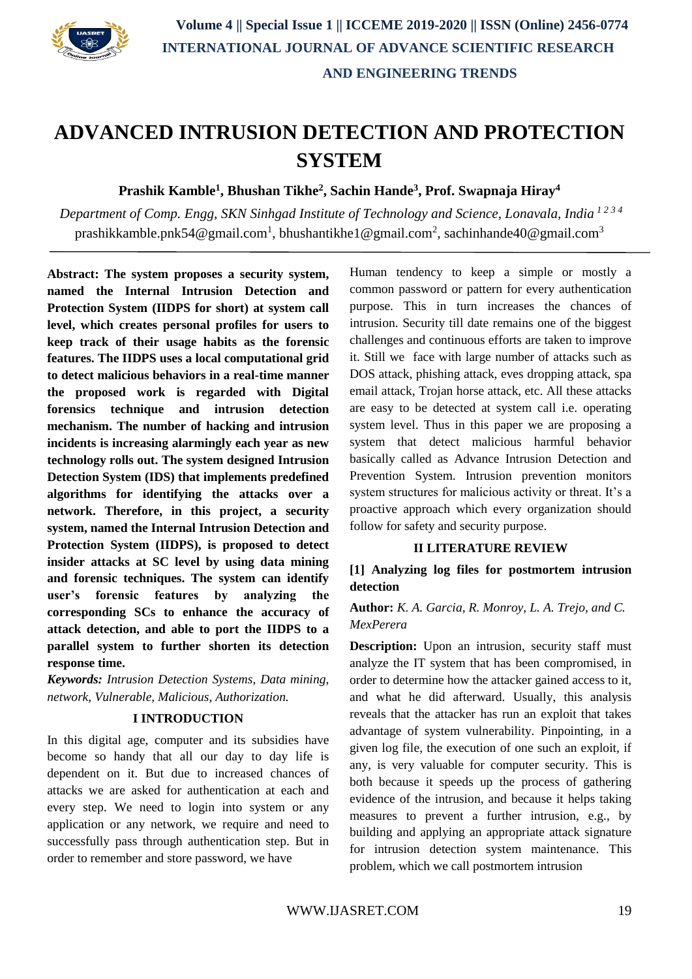

# **ADVANCED INTRUSION DETECTION AND PROTECTION SYSTEM**

**Prashik Kamble<sup>1</sup> , Bhushan Tikhe<sup>2</sup> , Sachin Hande<sup>3</sup> , Prof. Swapnaja Hiray<sup>4</sup>**

*Department of Comp. Engg, SKN Sinhgad Institute of Technology and Science, Lonavala, India 1 2 3 <sup>4</sup>* prashikkamble.pnk54@gmail.com<sup>1</sup>, bhushantikhe1@gmail.com<sup>2</sup>, sachinhande40@gmail.com<sup>3</sup>

**Abstract: The system proposes a security system, named the Internal Intrusion Detection and Protection System (IIDPS for short) at system call level, which creates personal profiles for users to keep track of their usage habits as the forensic features. The IIDPS uses a local computational grid to detect malicious behaviors in a real-time manner the proposed work is regarded with Digital forensics technique and intrusion detection mechanism. The number of hacking and intrusion incidents is increasing alarmingly each year as new technology rolls out. The system designed Intrusion Detection System (IDS) that implements predefined algorithms for identifying the attacks over a network. Therefore, in this project, a security system, named the Internal Intrusion Detection and Protection System (IIDPS), is proposed to detect insider attacks at SC level by using data mining and forensic techniques. The system can identify user's forensic features by analyzing the corresponding SCs to enhance the accuracy of attack detection, and able to port the IIDPS to a parallel system to further shorten its detection response time.**

*Keywords: Intrusion Detection Systems, Data mining, network, Vulnerable, Malicious, Authorization.*

#### **I INTRODUCTION**

In this digital age, computer and its subsidies have become so handy that all our day to day life is dependent on it. But due to increased chances of attacks we are asked for authentication at each and every step. We need to login into system or any application or any network, we require and need to successfully pass through authentication step. But in order to remember and store password, we have

Human tendency to keep a simple or mostly a common password or pattern for every authentication purpose. This in turn increases the chances of intrusion. Security till date remains one of the biggest challenges and continuous efforts are taken to improve it. Still we face with large number of attacks such as DOS attack, phishing attack, eves dropping attack, spa email attack, Trojan horse attack, etc. All these attacks are easy to be detected at system call i.e. operating system level. Thus in this paper we are proposing a system that detect malicious harmful behavior basically called as Advance Intrusion Detection and Prevention System. Intrusion prevention monitors system structures for malicious activity or threat. It's a proactive approach which every organization should follow for safety and security purpose.

#### **II LITERATURE REVIEW**

**[1] Analyzing log files for postmortem intrusion detection** 

**Author:** *K. A. Garcia, R. Monroy, L. A. Trejo, and C. MexPerera*

**Description:** Upon an intrusion, security staff must analyze the IT system that has been compromised, in order to determine how the attacker gained access to it, and what he did afterward. Usually, this analysis reveals that the attacker has run an exploit that takes advantage of system vulnerability. Pinpointing, in a given log file, the execution of one such an exploit, if any, is very valuable for computer security. This is both because it speeds up the process of gathering evidence of the intrusion, and because it helps taking measures to prevent a further intrusion, e.g., by building and applying an appropriate attack signature for intrusion detection system maintenance. This problem, which we call postmortem intrusion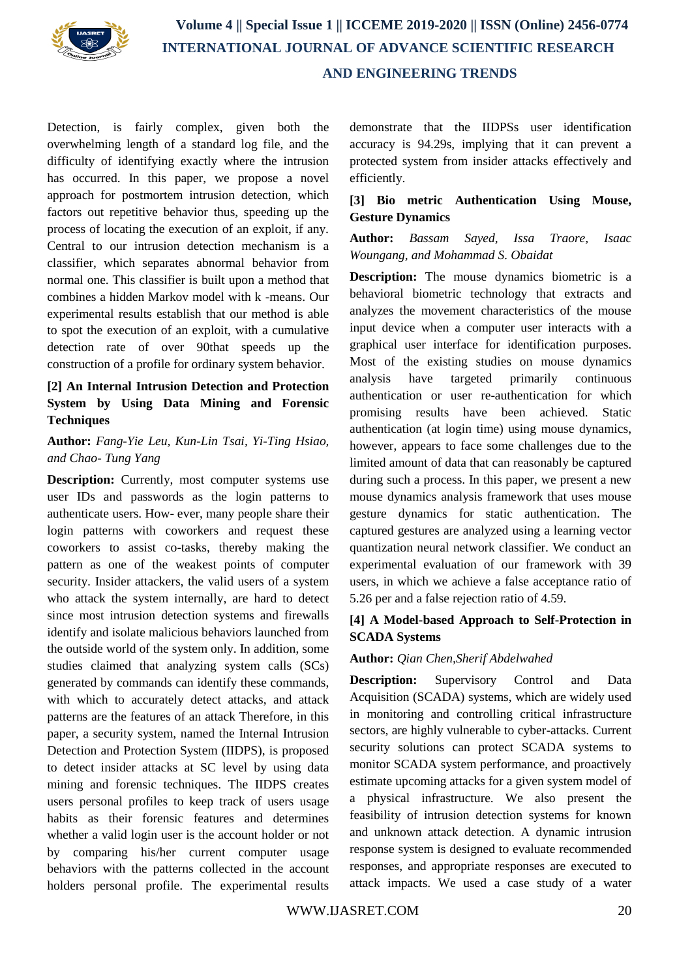

Detection, is fairly complex, given both the overwhelming length of a standard log file, and the difficulty of identifying exactly where the intrusion has occurred. In this paper, we propose a novel approach for postmortem intrusion detection, which factors out repetitive behavior thus, speeding up the process of locating the execution of an exploit, if any. Central to our intrusion detection mechanism is a classifier, which separates abnormal behavior from normal one. This classifier is built upon a method that combines a hidden Markov model with k -means. Our experimental results establish that our method is able to spot the execution of an exploit, with a cumulative detection rate of over 90that speeds up the construction of a profile for ordinary system behavior.

# **[2] An Internal Intrusion Detection and Protection System by Using Data Mining and Forensic Techniques**

### **Author:** *Fang-Yie Leu, Kun-Lin Tsai, Yi-Ting Hsiao, and Chao- Tung Yang*

**Description:** Currently, most computer systems use user IDs and passwords as the login patterns to authenticate users. How- ever, many people share their login patterns with coworkers and request these coworkers to assist co-tasks, thereby making the pattern as one of the weakest points of computer security. Insider attackers, the valid users of a system who attack the system internally, are hard to detect since most intrusion detection systems and firewalls identify and isolate malicious behaviors launched from the outside world of the system only. In addition, some studies claimed that analyzing system calls (SCs) generated by commands can identify these commands, with which to accurately detect attacks, and attack patterns are the features of an attack Therefore, in this paper, a security system, named the Internal Intrusion Detection and Protection System (IIDPS), is proposed to detect insider attacks at SC level by using data mining and forensic techniques. The IIDPS creates users personal profiles to keep track of users usage habits as their forensic features and determines whether a valid login user is the account holder or not by comparing his/her current computer usage behaviors with the patterns collected in the account holders personal profile. The experimental results

demonstrate that the IIDPSs user identification accuracy is 94.29s, implying that it can prevent a protected system from insider attacks effectively and efficiently.

#### **[3] Bio metric Authentication Using Mouse, Gesture Dynamics**

# **Author:** *Bassam Sayed, Issa Traore, Isaac Woungang, and Mohammad S. Obaidat*

**Description:** The mouse dynamics biometric is a behavioral biometric technology that extracts and analyzes the movement characteristics of the mouse input device when a computer user interacts with a graphical user interface for identification purposes. Most of the existing studies on mouse dynamics analysis have targeted primarily continuous authentication or user re-authentication for which promising results have been achieved. Static authentication (at login time) using mouse dynamics, however, appears to face some challenges due to the limited amount of data that can reasonably be captured during such a process. In this paper, we present a new mouse dynamics analysis framework that uses mouse gesture dynamics for static authentication. The captured gestures are analyzed using a learning vector quantization neural network classifier. We conduct an experimental evaluation of our framework with 39 users, in which we achieve a false acceptance ratio of 5.26 per and a false rejection ratio of 4.59.

# **[4] A Model-based Approach to Self-Protection in SCADA Systems**

# **Author:** *Qian Chen,Sherif Abdelwahed*

**Description:** Supervisory Control and Data Acquisition (SCADA) systems, which are widely used in monitoring and controlling critical infrastructure sectors, are highly vulnerable to cyber-attacks. Current security solutions can protect SCADA systems to monitor SCADA system performance, and proactively estimate upcoming attacks for a given system model of a physical infrastructure. We also present the feasibility of intrusion detection systems for known and unknown attack detection. A dynamic intrusion response system is designed to evaluate recommended responses, and appropriate responses are executed to attack impacts. We used a case study of a water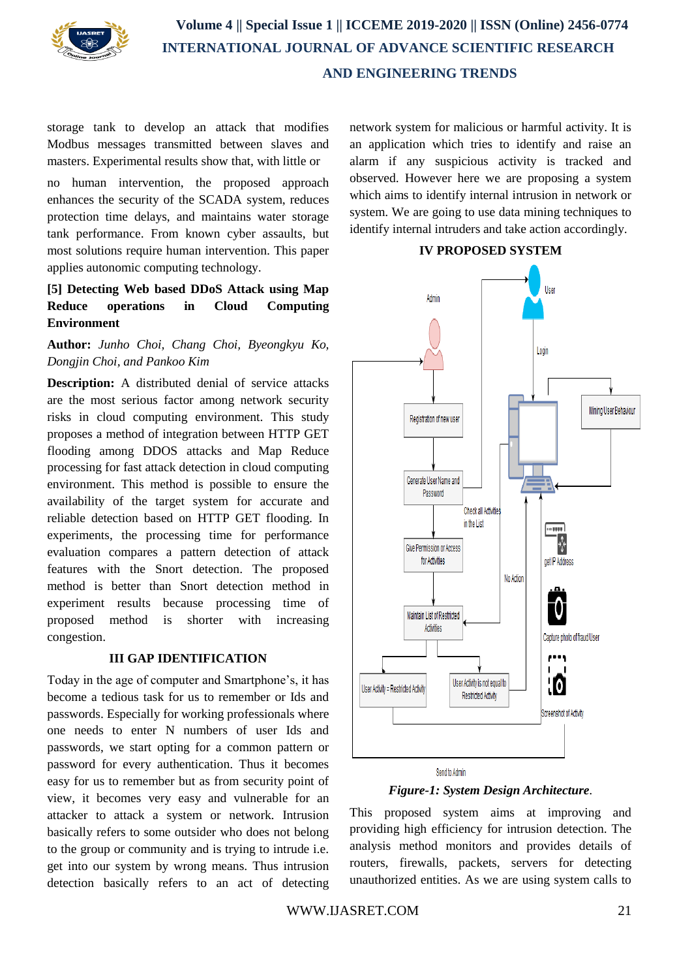

storage tank to develop an attack that modifies Modbus messages transmitted between slaves and masters. Experimental results show that, with little or

no human intervention, the proposed approach enhances the security of the SCADA system, reduces protection time delays, and maintains water storage tank performance. From known cyber assaults, but most solutions require human intervention. This paper applies autonomic computing technology.

## **[5] Detecting Web based DDoS Attack using Map Reduce operations in Cloud Computing Environment**

# **Author:** *Junho Choi, Chang Choi, Byeongkyu Ko, Dongjin Choi, and Pankoo Kim*

**Description:** A distributed denial of service attacks are the most serious factor among network security risks in cloud computing environment. This study proposes a method of integration between HTTP GET flooding among DDOS attacks and Map Reduce processing for fast attack detection in cloud computing environment. This method is possible to ensure the availability of the target system for accurate and reliable detection based on HTTP GET flooding. In experiments, the processing time for performance evaluation compares a pattern detection of attack features with the Snort detection. The proposed method is better than Snort detection method in experiment results because processing time of proposed method is shorter with increasing congestion.

#### **III GAP IDENTIFICATION**

Today in the age of computer and Smartphone's, it has become a tedious task for us to remember or Ids and passwords. Especially for working professionals where one needs to enter N numbers of user Ids and passwords, we start opting for a common pattern or password for every authentication. Thus it becomes easy for us to remember but as from security point of view, it becomes very easy and vulnerable for an attacker to attack a system or network. Intrusion basically refers to some outsider who does not belong to the group or community and is trying to intrude i.e. get into our system by wrong means. Thus intrusion detection basically refers to an act of detecting network system for malicious or harmful activity. It is an application which tries to identify and raise an alarm if any suspicious activity is tracked and observed. However here we are proposing a system which aims to identify internal intrusion in network or system. We are going to use data mining techniques to identify internal intruders and take action accordingly*.*





This proposed system aims at improving and providing high efficiency for intrusion detection. The analysis method monitors and provides details of routers, firewalls, packets, servers for detecting unauthorized entities. As we are using system calls to

**IV PROPOSED SYSTEM**